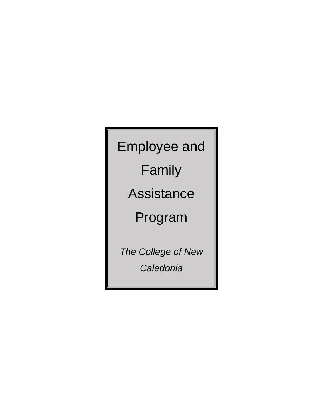# Employee and

Family

Assistance

Program

*The College of New Caledonia*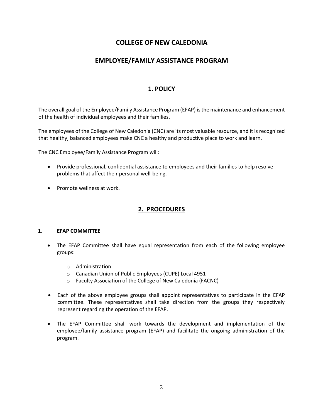# **COLLEGE OF NEW CALEDONIA**

## **EMPLOYEE/FAMILY ASSISTANCE PROGRAM**

## **1. POLICY**

The overall goal of the Employee/Family Assistance Program (EFAP) is the maintenance and enhancement of the health of individual employees and their families.

The employees of the College of New Caledonia (CNC) are its most valuable resource, and it is recognized that healthy, balanced employees make CNC a healthy and productive place to work and learn.

The CNC Employee/Family Assistance Program will:

- Provide professional, confidential assistance to employees and their families to help resolve problems that affect their personal well-being.
- Promote wellness at work.

## **2. PROCEDURES**

#### **1. EFAP COMMITTEE**

- The EFAP Committee shall have equal representation from each of the following employee groups:
	- o Administration
	- o Canadian Union of Public Employees (CUPE) Local 4951
	- o Faculty Association of the College of New Caledonia (FACNC)
- Each of the above employee groups shall appoint representatives to participate in the EFAP committee. These representatives shall take direction from the groups they respectively represent regarding the operation of the EFAP.
- The EFAP Committee shall work towards the development and implementation of the employee/family assistance program (EFAP) and facilitate the ongoing administration of the program.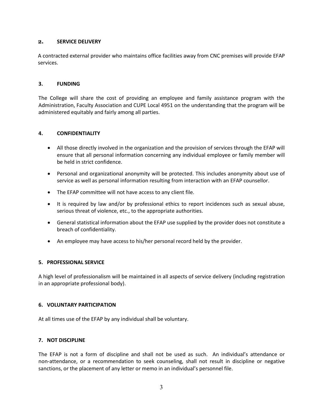#### **2. SERVICE DELIVERY**

A contracted external provider who maintains office facilities away from CNC premises will provide EFAP services.

#### **3. FUNDING**

The College will share the cost of providing an employee and family assistance program with the Administration, Faculty Association and CUPE Local 4951 on the understanding that the program will be administered equitably and fairly among all parties.

#### **4. CONFIDENTIALITY**

- All those directly involved in the organization and the provision of services through the EFAP will ensure that all personal information concerning any individual employee or family member will be held in strict confidence.
- Personal and organizational anonymity will be protected. This includes anonymity about use of service as well as personal information resulting from interaction with an EFAP counsellor.
- The EFAP committee will not have access to any client file.
- It is required by law and/or by professional ethics to report incidences such as sexual abuse, serious threat of violence, etc., to the appropriate authorities.
- General statistical information about the EFAP use supplied by the provider does not constitute a breach of confidentiality.
- An employee may have access to his/her personal record held by the provider.

#### **5. PROFESSIONAL SERVICE**

A high level of professionalism will be maintained in all aspects of service delivery (including registration in an appropriate professional body).

#### **6. VOLUNTARY PARTICIPATION**

At all times use of the EFAP by any individual shall be voluntary.

#### **7. NOT DISCIPLINE**

The EFAP is not a form of discipline and shall not be used as such. An individual's attendance or non-attendance, or a recommendation to seek counseling, shall not result in discipline or negative sanctions, or the placement of any letter or memo in an individual's personnel file.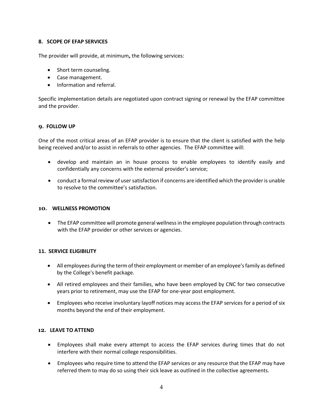#### **8. SCOPE OF EFAP SERVICES**

The provider will provide, at minimum**,** the following services:

- Short term counseling.
- Case management.
- Information and referral.

Specific implementation details are negotiated upon contract signing or renewal by the EFAP committee and the provider.

#### **9. FOLLOW UP**

One of the most critical areas of an EFAP provider is to ensure that the client is satisfied with the help being received and/or to assist in referrals to other agencies. The EFAP committee will:

- develop and maintain an in house process to enable employees to identify easily and confidentially any concerns with the external provider's service;
- conduct a formal review of user satisfaction if concerns are identified which the provider is unable to resolve to the committee's satisfaction.

#### **10. WELLNESS PROMOTION**

• The EFAP committee will promote general wellness in the employee population through contracts with the EFAP provider or other services or agencies.

#### **11. SERVICE ELIGIBILITY**

- All employees during the term of their employment or member of an employee's family as defined by the College's benefit package.
- All retired employees and their families, who have been employed by CNC for two consecutive years prior to retirement, may use the EFAP for one-year post employment.
- Employees who receive involuntary layoff notices may access the EFAP services for a period of six months beyond the end of their employment.

#### **12. LEAVE TO ATTEND**

- Employees shall make every attempt to access the EFAP services during times that do not interfere with their normal college responsibilities.
- Employees who require time to attend the EFAP services or any resource that the EFAP may have referred them to may do so using their sick leave as outlined in the collective agreements.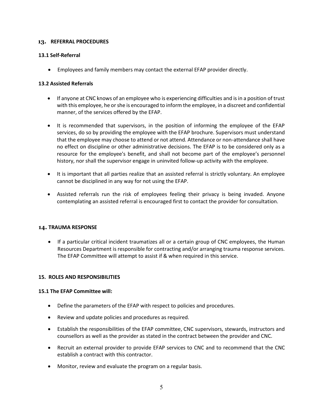#### **13. REFERRAL PROCEDURES**

#### **13.1 Self-Referral**

• Employees and family members may contact the external EFAP provider directly.

#### **13.2 Assisted Referrals**

- If anyone at CNC knows of an employee who is experiencing difficulties and is in a position of trust with this employee, he or she is encouraged to inform the employee, in a discreet and confidential manner, of the services offered by the EFAP.
- It is recommended that supervisors, in the position of informing the employee of the EFAP services, do so by providing the employee with the EFAP brochure. Supervisors must understand that the employee may choose to attend or not attend. Attendance or non-attendance shall have no effect on discipline or other administrative decisions. The EFAP is to be considered only as a resource for the employee's benefit, and shall not become part of the employee's personnel history, nor shall the supervisor engage in uninvited follow-up activity with the employee.
- It is important that all parties realize that an assisted referral is strictly voluntary. An employee cannot be disciplined in any way for not using the EFAP.
- Assisted referrals run the risk of employees feeling their privacy is being invaded. Anyone contemplating an assisted referral is encouraged first to contact the provider for consultation.

#### **14. TRAUMA RESPONSE**

• If a particular critical incident traumatizes all or a certain group of CNC employees, the Human Resources Department is responsible for contracting and/or arranging trauma response services. The EFAP Committee will attempt to assist if & when required in this service.

#### **15. ROLES AND RESPONSIBILITIES**

#### **15.1 The EFAP Committee will:**

- Define the parameters of the EFAP with respect to policies and procedures.
- Review and update policies and procedures as required.
- Establish the responsibilities of the EFAP committee, CNC supervisors, stewards, instructors and counsellors as well as the provider as stated in the contract between the provider and CNC.
- Recruit an external provider to provide EFAP services to CNC and to recommend that the CNC establish a contract with this contractor.
- Monitor, review and evaluate the program on a regular basis.